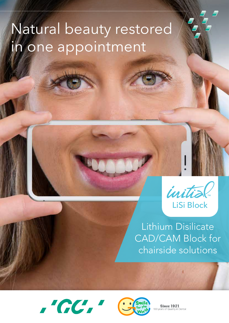# Natural beauty restored in one appointment



Lithium Disilicate CAD/CAM Block for chairside solutions





**Since 1921** Quality in Dental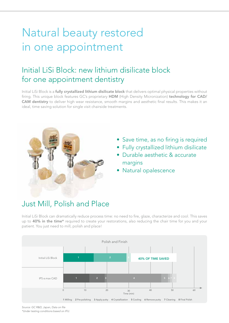## Natural beauty restored in one appointment

### Initial LiSi Block: new lithium disilicate block for one appointment dentistry

Initial LiSi Block is a **fully crystallized lithium disilicate block** that delivers optimal physical properties without firing. This unique block features GC's proprietary HDM (High Density Micronization) technology for CAD/ CAM dentistry to deliver high wear resistance, smooth margins and aesthetic final results. This makes it an ideal, time saving solution for single visit chairside treatments.



- Save time, as no firing is required
- Fully crystallized lithium disilicate
- Durable aesthetic & accurate margins
- Natural opalescence

### Just Mill, Polish and Place

Initial LiSi Block can dramatically reduce process time: no need to fire, glaze, characterize and cool. This saves up to 40% in the time\* required to create your restorations, also reducing the chair time for you and your patient. You just need to mill, polish and place!



Source: GC R&D, Japan, Data on file *\*Under testing conditions based on IFU.*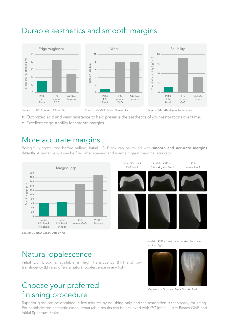### Durable aesthetics and smooth margins



- Optimized acid and wear resistance to help preserve the aesthetics of your restorations over time.
- Excellent edge stability for smooth margins.

### More accurate margins

Being fully crystallized before milling, Initial LiSi Block can be milled with smooth and accurate margins directly. Alternatively, it can be fired after staining and maintain great marginal accuracy.



Source: GC R&D, Japan, Data on file

Initial LiSi Block restoration under direct and indirect light.

### Natural opalescence

Initial LiSi Block is available in high translucency (HT) and low translucency (LT) and offers a natural opalescence in any light.

### Choose your preferred finishing procedure

Superior gloss can be obtained in few minutes by polishing only, and the restoration is then ready for luting. For sophisticated aesthetic cases, remarkable results can be achieved with GC Initial Lustre Pastes ONE and Initial Spectrum Stains.



*Courtesy of Dr. Javier Tapia Guadix, Spain*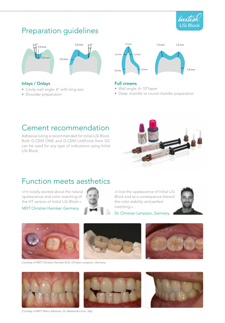

### Preparation guidelines



#### Inlays / Onlays

- Cavity wall angle: 6° with long axis
- Shoulder preparation



#### Full crowns

- Wall angle: 6~10°taper
- Deep chamfer or round chamfer preparation

### Cement recommendation

Adhesive luting is recommended for Initial LiSi Block. Both G-CEM ONE and G-CEM LinkForce from GC can be used for any type of indications using Initial LiSi Block.



### Function meets aesthetics

«I'm totally excited about the natural opalescence and color matching of the HT version of Initial LiSi Block.»

MDT Christian Hannker, Germany



«I love the opalescence of Initial LiSi Block and as a consequence thereof the color stability and perfect matching.»



Dr. Christian Lampson, Germany



Courtesy of MDT Christian Hannker & Dr. Christian Lampson, Germany







Courtesy of MDT Marco Muttone, Dr. Alessandro Iorio, Italy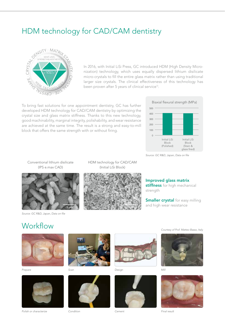### HDM technology for CAD/CAM dentistry



In 2016, with Initial LiSi Press, GC introduced HDM (High Density Micronization) technology, which uses equally dispersed lithium disilicate micro-crystals to fill the entire glass matrix rather than using traditional larger size crystals. The clinical effectiveness of this technology has been proven after 5 years of clinical service<sup>1)</sup>.

To bring fast solutions for one appointment dentistry, GC has further developed HDM technology for CAD/CAM dentistry by optimizing the crystal size and glass matrix stiffness. Thanks to this new technology, good machinability, marginal integrity, polishability, and wear resistance are achieved at the same time. The result is a strong and easy-to-mill block that offers the same strength with or without firing.



Source: GC R&D, Japan, Data on file

Conventional lithium disilicate (IPS e.max CAD)



Source: GC R&D, Japan, Data on file





Improved glass matrix stiffness for high mechanical strength

**Smaller crystal** for easy milling and high wear resistance

### **Workflow**





Polish or characterize *Condition Cement* Final result



*Prepare Scan Design* Mill